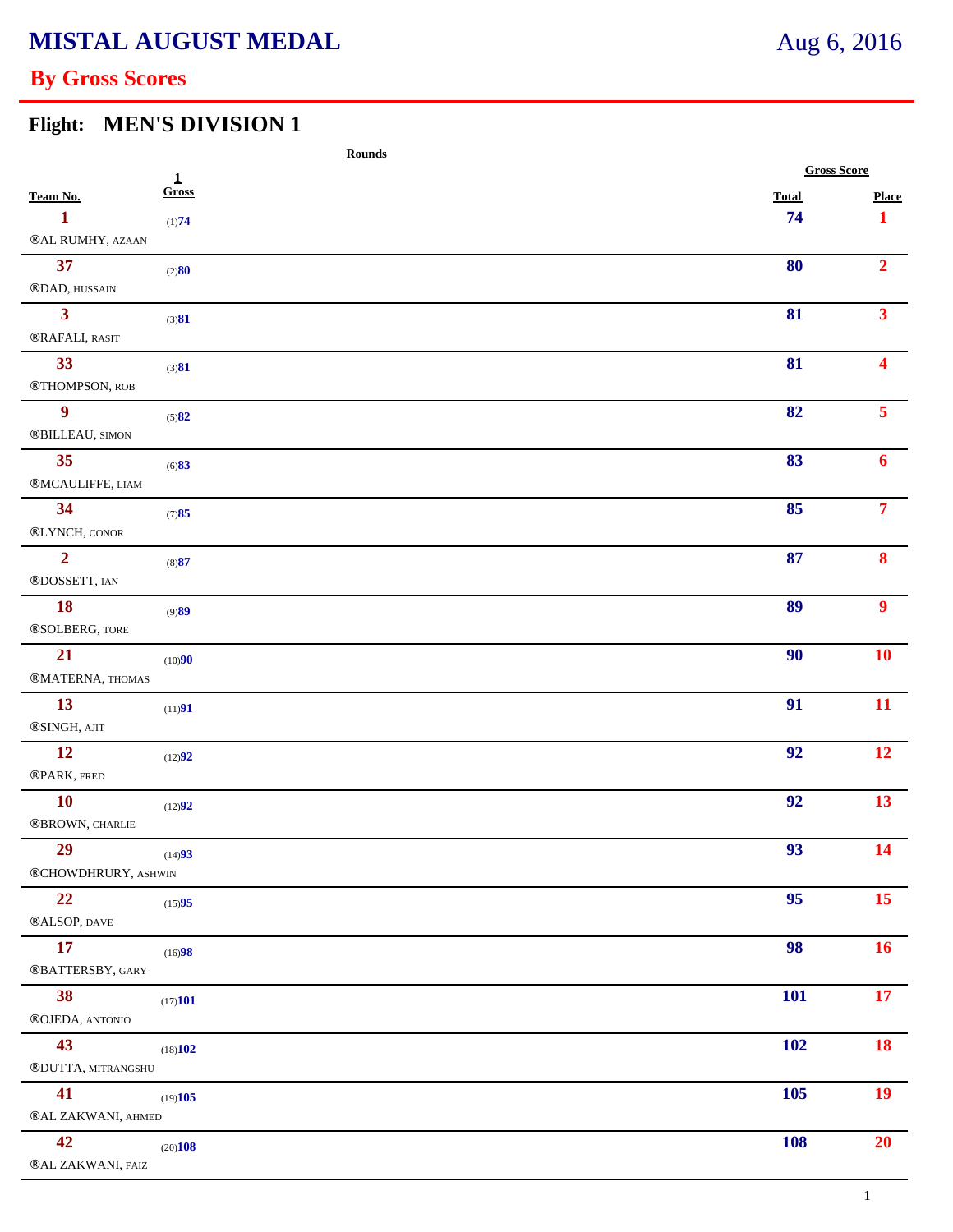# **By Gross Scores**

### **Flight: MEN'S DIVISION 1**

|                     | <b>Rounds</b> |                    |                  |  |
|---------------------|---------------|--------------------|------------------|--|
|                     | $\mathbf{1}$  | <b>Gross Score</b> |                  |  |
| Team No.            | Gross         | <b>Total</b>       | <b>Place</b>     |  |
| 1                   | (1)74         | 74                 | $\mathbf{1}$     |  |
| ®AL RUMHY, AZAAN    |               |                    |                  |  |
| 37                  | (2)80         | 80                 | $\overline{2}$   |  |
| ®DAD, HUSSAIN       |               |                    |                  |  |
| 3 <sup>1</sup>      | (3)81         | 81                 | 3 <sup>1</sup>   |  |
| ®RAFALI, RASIT      |               |                    |                  |  |
| 33                  | (3)81         | 81                 | 4                |  |
| ®THOMPSON, ROB      |               |                    |                  |  |
| $\boldsymbol{9}$    | (5)82         | 82                 | 5 <sup>7</sup>   |  |
| ®BILLEAU, SIMON     |               |                    |                  |  |
| 35                  | (6)83         | 83                 | 6                |  |
| ®MCAULIFFE, LIAM    |               |                    |                  |  |
| 34                  | (7)85         | 85                 | $\overline{7}$   |  |
| ®LYNCH, CONOR       |               |                    |                  |  |
| $\overline{2}$      | (8)87         | 87                 | 8                |  |
| ®DOSSETT, IAN       |               |                    |                  |  |
| 18                  | (9)89         | 89                 | $\boldsymbol{9}$ |  |
| ®SOLBERG, TORE      |               |                    |                  |  |
| 21                  |               | 90                 | 10               |  |
| ®MATERNA, THOMAS    | (10)90        |                    |                  |  |
| 13                  |               | 91                 | 11               |  |
| ®SINGH, AJIT        | (11)91        |                    |                  |  |
| 12                  |               |                    | 12               |  |
|                     | (12)92        | 92                 |                  |  |
| ®PARK, FRED         |               |                    |                  |  |
| 10                  | (12)92        | 92                 | 13               |  |
| ®BROWN, CHARLIE     |               |                    |                  |  |
| 29                  | (14)93        | 93                 | 14               |  |
| ®CHOWDHRURY, ASHWIN |               |                    |                  |  |
| 22                  | (15)95        | 95                 | 15 <sup>15</sup> |  |
| ®ALSOP, DAVE        |               |                    |                  |  |
| 17                  | (16)98        | 98                 | 16               |  |
| ®BATTERSBY, GARY    |               |                    |                  |  |
| 38                  | (17)101       | <b>101</b>         | <b>17</b>        |  |
| ®OJEDA, ANTONIO     |               |                    |                  |  |
| 43                  | (18)102       | <b>102</b>         | 18               |  |
| ®DUTTA, MITRANGSHU  |               |                    |                  |  |
| 41                  | (19)105       | 105                | 19               |  |
| ®AL ZAKWANI, AHMED  |               |                    |                  |  |
| 42                  | (20)108       | <b>108</b>         | 20               |  |
| ®AL ZAKWANI, FAIZ   |               |                    |                  |  |
|                     |               |                    |                  |  |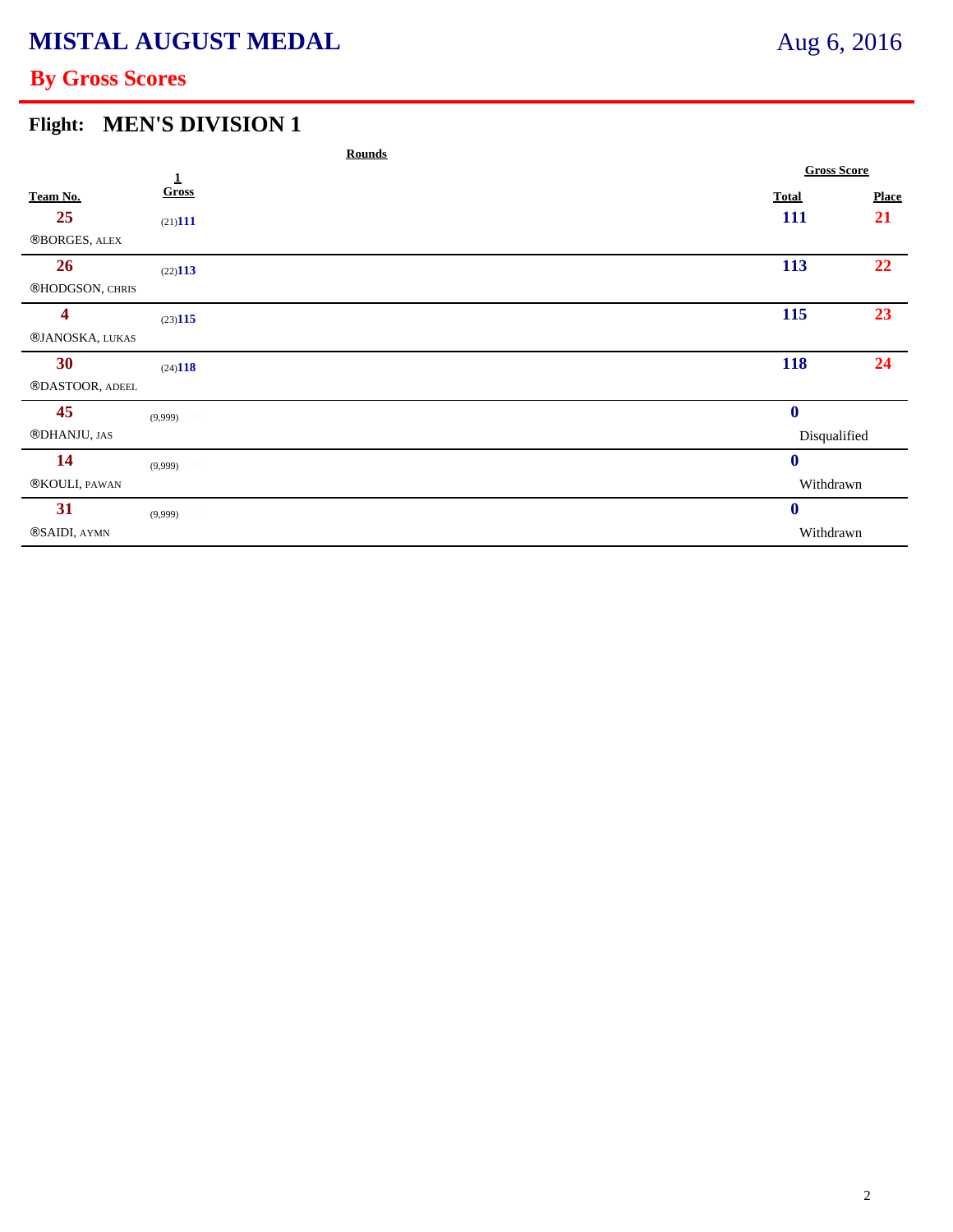# **By Gross Scores**

### **Flight: MEN'S DIVISION 1**

|                 | <b>Rounds</b>     |                  |                    |  |
|-----------------|-------------------|------------------|--------------------|--|
|                 | $\mathbf 1$       |                  | <b>Gross Score</b> |  |
| Team No.        | Gross             | <b>Total</b>     | <b>Place</b>       |  |
| 25              | $(21)$ <b>111</b> | 111              | 21                 |  |
| ®BORGES, ALEX   |                   |                  |                    |  |
| 26              | (22)113           | 113              | 22                 |  |
| ®HODGSON, CHRIS |                   |                  |                    |  |
| 4               | (23)115           | 115              | 23                 |  |
| ®JANOSKA, LUKAS |                   |                  |                    |  |
| 30              | (24)118           | 118              | 24                 |  |
| ®DASTOOR, ADEEL |                   |                  |                    |  |
| 45              | (9,999)           | $\bf{0}$         |                    |  |
| ®DHANJU, JAS    |                   | Disqualified     |                    |  |
| 14              | (9,999)           | $\boldsymbol{0}$ |                    |  |
| ®KOULI, PAWAN   |                   | Withdrawn        |                    |  |
| 31              | (9,999)           | $\bf{0}$         |                    |  |
| ®SAIDI, AYMN    |                   | Withdrawn        |                    |  |
|                 |                   |                  |                    |  |